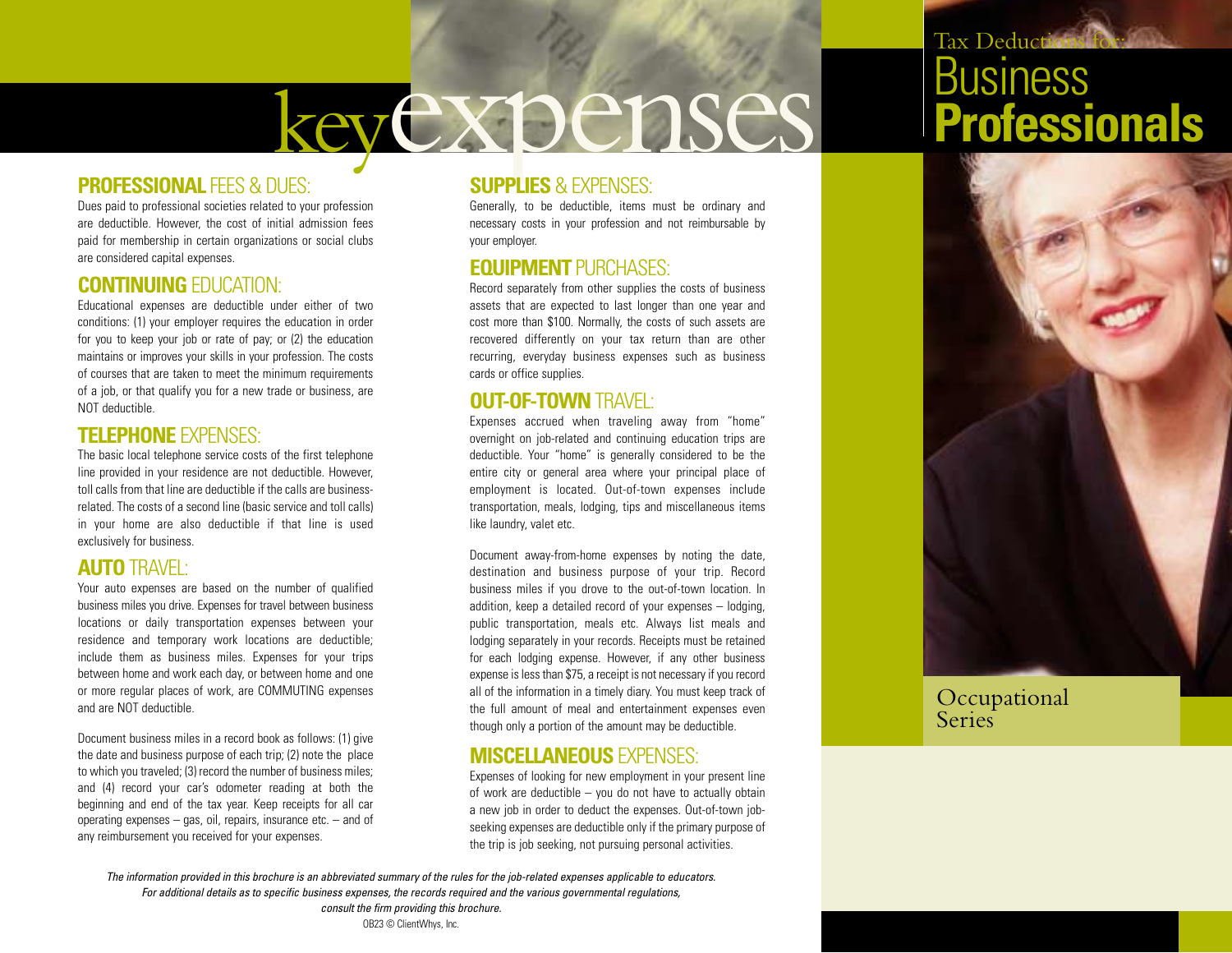# keyexpenses

### **PROFESSIONAL FEES & DUES:**

Dues paid to professional societies related to your profession are deductible. However, the cost of initial admission fees paid for membership in certain organizations or social clubs are considered capital expenses.

#### **CONTINUING** EDUCATION:

Educational expenses are deductible under either of two conditions: (1) your employer requires the education in order for you to keep your job or rate of pay; or (2) the education maintains or improves your skills in your profession. The costs of courses that are taken to meet the minimum requirements of a job, or that qualify you for a new trade or business, are NOT deductible.

#### **TELEPHONE** EXPENSES:

The basic local telephone service costs of the first telephone line provided in your residence are not deductible. However, toll calls from that line are deductible if the calls are businessrelated. The costs of a second line (basic service and toll calls) in your home are also deductible if that line is used exclusively for business.

## **AUTO** TRAVEL:

Your auto expenses are based on the number of qualified business miles you drive. Expenses for travel between business locations or daily transportation expenses between your residence and temporary work locations are deductible; include them as business miles. Expenses for your trips between home and work each day, or between home and one or more regular places of work, are COMMUTING expenses and are NOT deductible.

Document business miles in a record book as follows: (1) give the date and business purpose of each trip; (2) note the place to which you traveled; (3) record the number of business miles; and (4) record your car's odometer reading at both the beginning and end of the tax year. Keep receipts for all car operating expenses – gas, oil, repairs, insurance etc. – and of any reimbursement you received for your expenses.

#### **SUPPLIES** & EXPENSES:

Generally, to be deductible, items must be ordinary and necessary costs in your profession and not reimbursable by your employer.

#### **EQUIPMENT** PURCHASES:

Record separately from other supplies the costs of business assets that are expected to last longer than one year and cost more than \$100. Normally, the costs of such assets are recovered differently on your tax return than are other recurring, everyday business expenses such as business cards or office supplies.

### **OUT-OF-TOWN** TRAVEL:

Expenses accrued when traveling away from "home" overnight on job-related and continuing education trips are deductible. Your "home" is generally considered to be the entire city or general area where your principal place of employment is located. Out-of-town expenses include transportation, meals, lodging, tips and miscellaneous items like laundry, valet etc.

Document away-from-home expenses by noting the date, destination and business purpose of your trip. Record business miles if you drove to the out-of-town location. In addition, keep a detailed record of your expenses – lodging, public transportation, meals etc. Always list meals and lodging separately in your records. Receipts must be retained for each lodging expense. However, if any other business expense is less than \$75, a receipt is not necessary if you record all of the information in a timely diary. You must keep track of the full amount of meal and entertainment expenses even though only a portion of the amount may be deductible.

#### **MISCELLANEOUS** EXPENSES:

Expenses of looking for new employment in your present line of work are deductible – you do not have to actually obtain a new job in order to deduct the expenses. Out-of-town jobseeking expenses are deductible only if the primary purpose of the trip is job seeking, not pursuing personal activities.

# Tax Deductions for: **Business Professionals**



Occupational **Series** 

*The information provided in this brochure is an abbreviated summary of the rules for the job-related expenses applicable to educators. For additional details as to specific business expenses, the records required and the various governmental regulations, consult the firm providing this brochure.*

OB23 © ClientWhys, Inc.